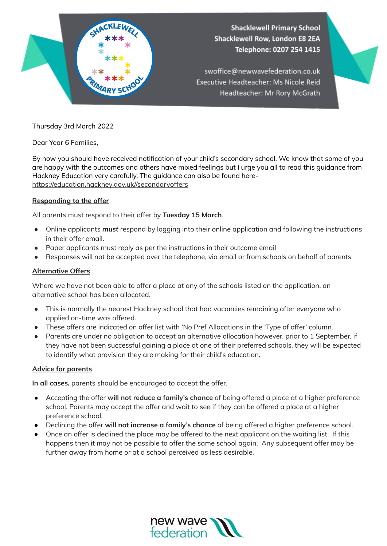

Thursday 3rd March 2022

Dear Year 6 Families,

By now you should have received notification of your child's secondary school. We know that some of you are happy with the outcomes and others have mixed feelings but I urge you all to read this guidance from Hackney Education very carefully. The guidance can also be found herehttps://education.hackney.gov.uk//secondaryoffers

### **Responding to the offer**

All parents must respond to their offer by **Tuesday 15 March**.

- Online applicants *must* respond by logging into their online application and following the instructions in their offer email.
- Paper applicants must reply as per the instructions in their outcome email
- Responses will not be accepted over the telephone, via email or from schools on behalf of parents

#### **Alternative Offers**

Where we have not been able to offer a place at any of the schools listed on the application, an alternative school has been allocated.

- This is normally the nearest Hackney school that had vacancies remaining after everyone who applied on-time was offered.
- These offers are indicated on offer list with 'No Pref Allocations in the 'Type of offer' column.
- Parents are under no obligation to accept an alternative allocation however, prior to 1 September, if they have not been successful gaining a place at one of their preferred schools, they will be expected to identify what provision they are making for their child's education.

#### **Advice for parents**

**In all cases,** parents should be encouraged to accept the offer.

- Accepting the offer **will not reduce a family's chance** of being offered a place at a higher preference school. Parents may accept the offer and wait to see if they can be offered a place at a higher preference school.
- Declining the offer **will not increase a family's chance** of being offered a higher preference school.
- Once an offer is declined the place may be offered to the next applicant on the waiting list. If this happens then it may not be possible to offer the same school again. Any subsequent offer may be further away from home or at a school perceived as less desirable.